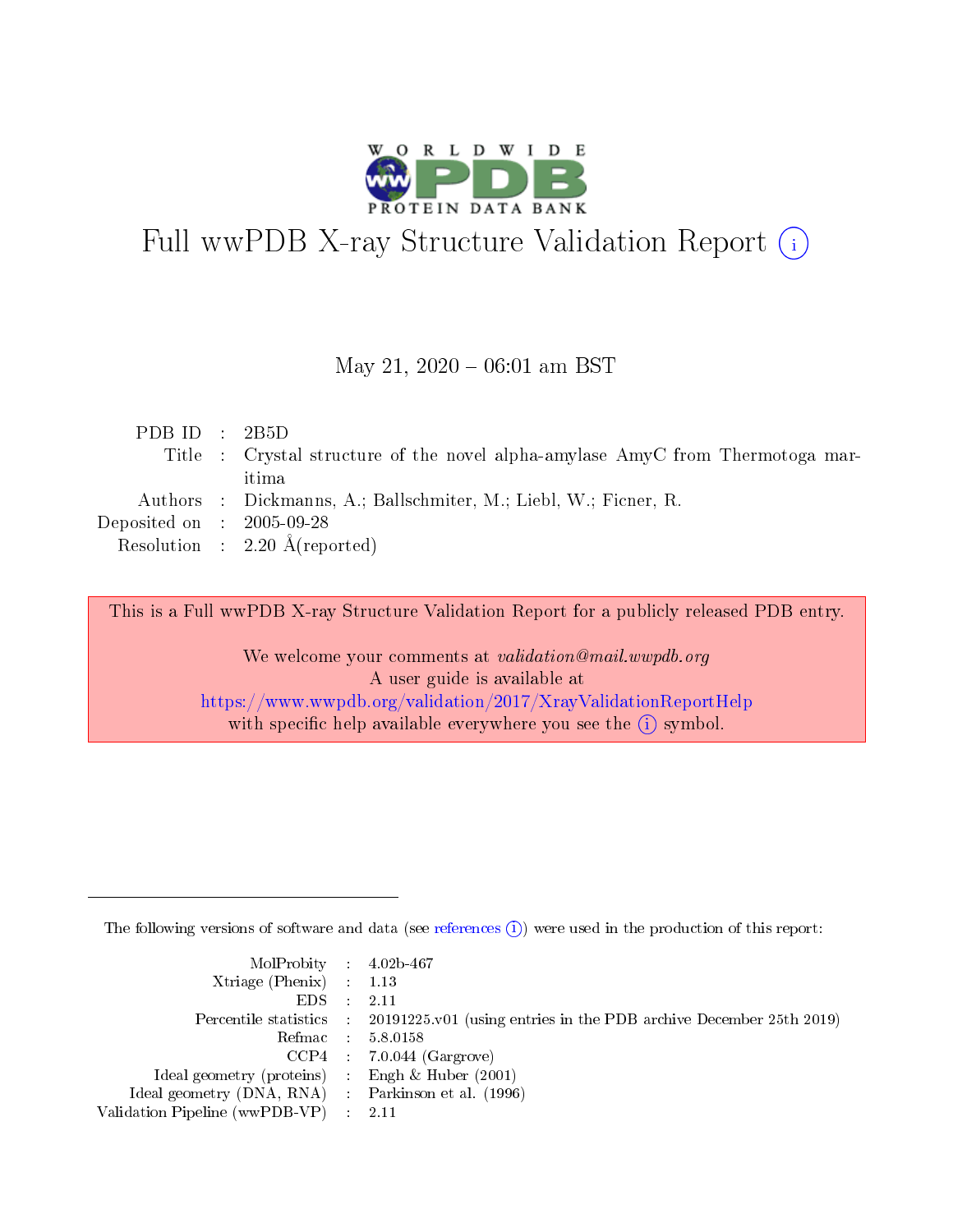

# Full wwPDB X-ray Structure Validation Report (i)

#### May 21,  $2020 - 06:01$  am BST

| PDB ID : 2B5D                 |                                                                                |
|-------------------------------|--------------------------------------------------------------------------------|
|                               | Title : Crystal structure of the novel alpha-amylase AmyC from Thermotoga mar- |
|                               | itima                                                                          |
|                               | Authors : Dickmanns, A.; Ballschmiter, M.; Liebl, W.; Ficner, R.               |
| $Deposited on$ : $2005-09-28$ |                                                                                |
|                               | Resolution : $2.20 \text{ Å}$ (reported)                                       |

This is a Full wwPDB X-ray Structure Validation Report for a publicly released PDB entry.

We welcome your comments at validation@mail.wwpdb.org A user guide is available at <https://www.wwpdb.org/validation/2017/XrayValidationReportHelp> with specific help available everywhere you see the  $(i)$  symbol.

The following versions of software and data (see [references](https://www.wwpdb.org/validation/2017/XrayValidationReportHelp#references)  $(i)$ ) were used in the production of this report:

| $MolProbability$ 4.02b-467                          |                                                                                            |
|-----------------------------------------------------|--------------------------------------------------------------------------------------------|
| Xtriage (Phenix) $: 1.13$                           |                                                                                            |
| $EDS$ :                                             | -2.11                                                                                      |
|                                                     | Percentile statistics : 20191225.v01 (using entries in the PDB archive December 25th 2019) |
|                                                     | Refmac : 5.8.0158                                                                          |
|                                                     | $CCP4$ : 7.0.044 (Gargrove)                                                                |
| Ideal geometry (proteins) : Engh $\&$ Huber (2001)  |                                                                                            |
| Ideal geometry (DNA, RNA) : Parkinson et al. (1996) |                                                                                            |
| Validation Pipeline (wwPDB-VP)                      | -2.11                                                                                      |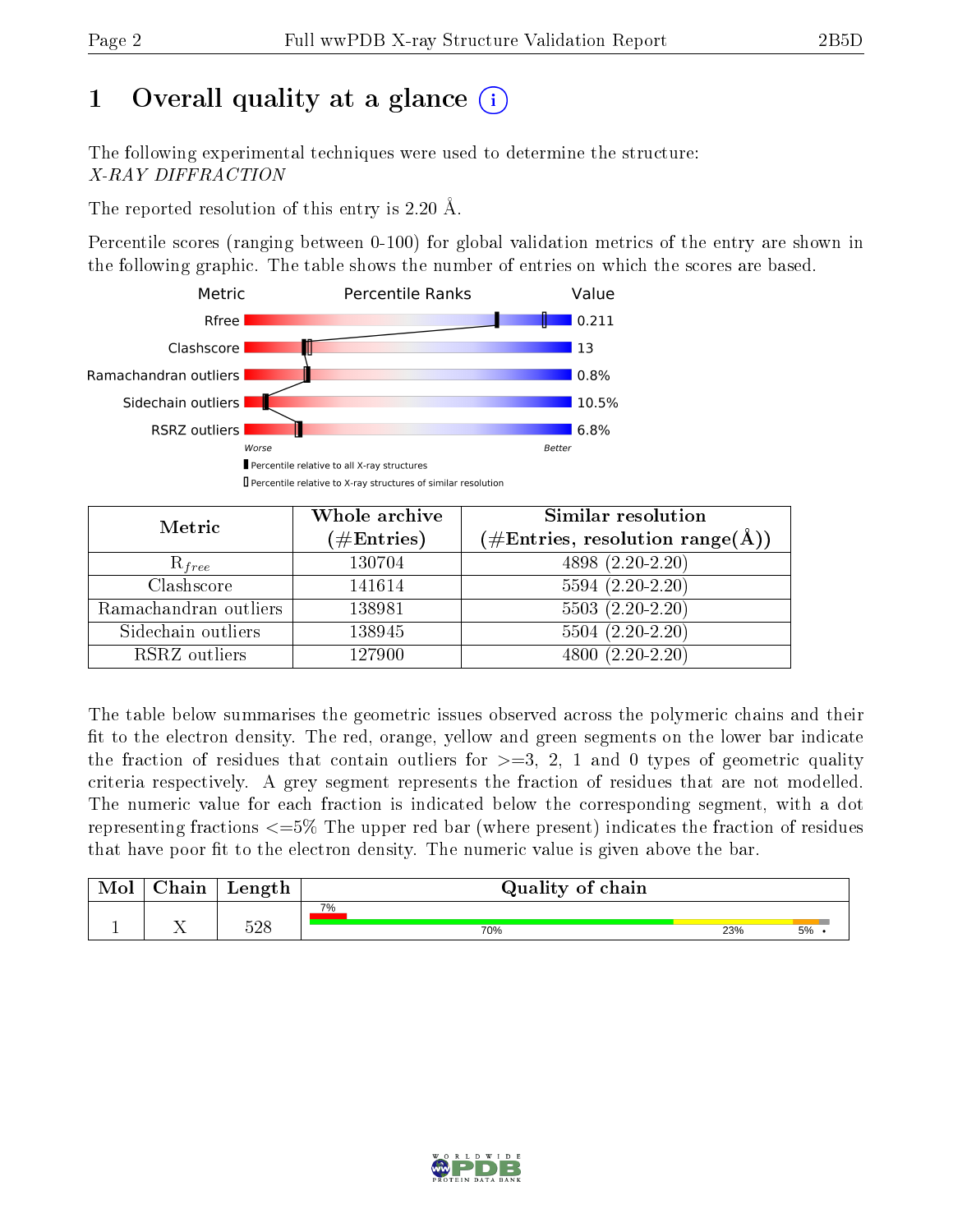# 1 [O](https://www.wwpdb.org/validation/2017/XrayValidationReportHelp#overall_quality)verall quality at a glance  $(i)$

The following experimental techniques were used to determine the structure: X-RAY DIFFRACTION

The reported resolution of this entry is 2.20 Å.

Percentile scores (ranging between 0-100) for global validation metrics of the entry are shown in the following graphic. The table shows the number of entries on which the scores are based.



| Metric                | Whole archive       | Similar resolution                                                     |  |  |
|-----------------------|---------------------|------------------------------------------------------------------------|--|--|
|                       | (# $\rm{Entries}$ ) | $(\#\text{Entries},\, \text{resolution}\; \text{range}(\textup{\AA}))$ |  |  |
| $R_{free}$            | 130704              | 4898 (2.20-2.20)                                                       |  |  |
| Clashscore            | 141614              | $5594(2.20-2.20)$                                                      |  |  |
| Ramachandran outliers | 138981              | $5503(2.20-2.20)$                                                      |  |  |
| Sidechain outliers    | 138945              | $5504(2.20-2.20)$                                                      |  |  |
| RSRZ outliers         | 127900              | $4800(2.20-2.20)$                                                      |  |  |

The table below summarises the geometric issues observed across the polymeric chains and their fit to the electron density. The red, orange, yellow and green segments on the lower bar indicate the fraction of residues that contain outliers for  $>=$  3, 2, 1 and 0 types of geometric quality criteria respectively. A grey segment represents the fraction of residues that are not modelled. The numeric value for each fraction is indicated below the corresponding segment, with a dot representing fractions  $\epsilon=5\%$  The upper red bar (where present) indicates the fraction of residues that have poor fit to the electron density. The numeric value is given above the bar.

|           | $\alpha$ hain | Length     | Quality of chain |     |    |  |  |  |
|-----------|---------------|------------|------------------|-----|----|--|--|--|
|           |               |            | 7%               |     |    |  |  |  |
| <u>д.</u> | <b>A A</b>    | 500<br>J∠C | 70%              | 23% | 5% |  |  |  |

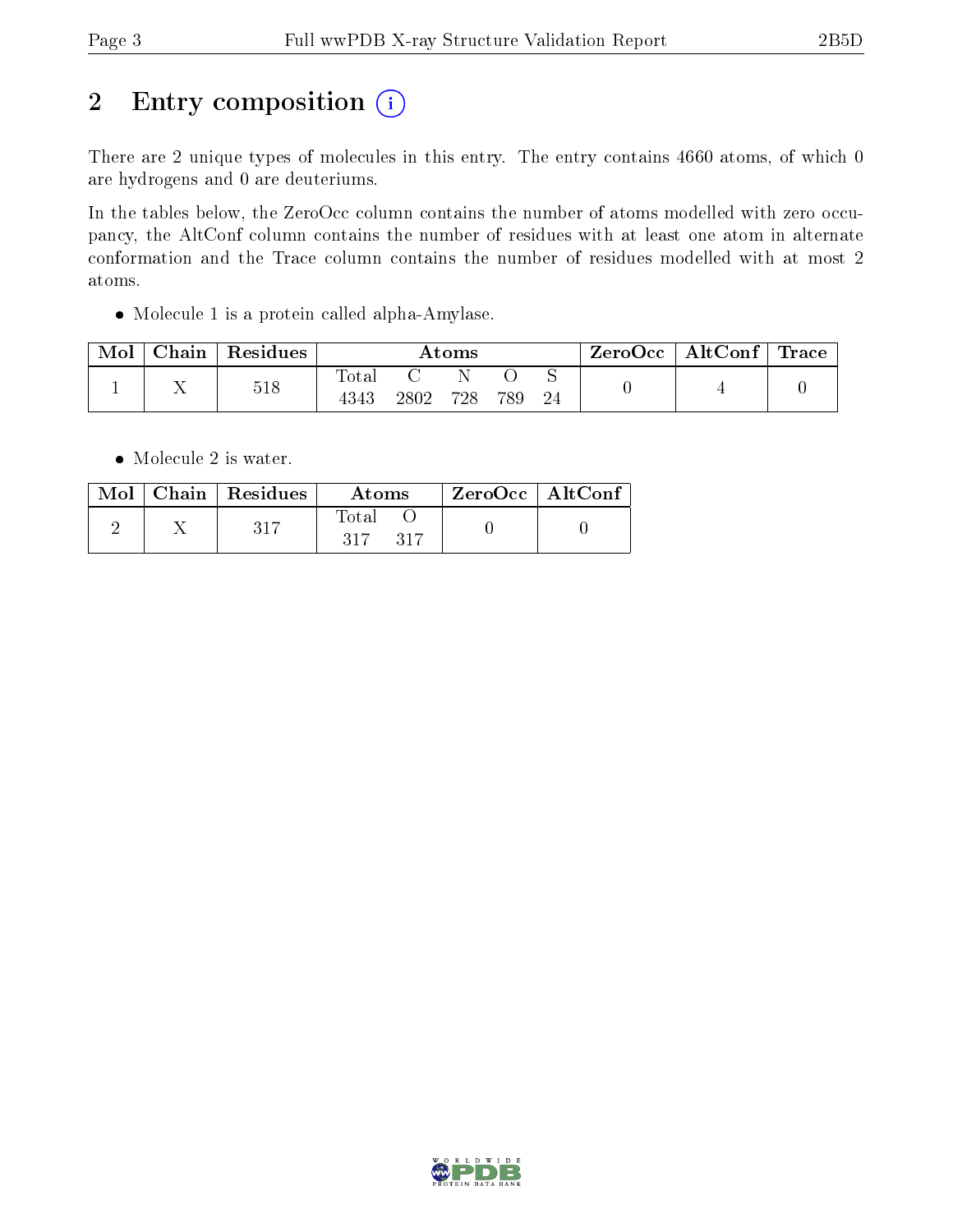# 2 Entry composition (i)

There are 2 unique types of molecules in this entry. The entry contains 4660 atoms, of which 0 are hydrogens and 0 are deuteriums.

In the tables below, the ZeroOcc column contains the number of atoms modelled with zero occupancy, the AltConf column contains the number of residues with at least one atom in alternate conformation and the Trace column contains the number of residues modelled with at most 2 atoms.

Molecule 1 is a protein called alpha-Amylase.

| Mol | Chain | Residues | $\rm{Atoms}$  |      |     |     | ZeroOcc | $\mid \text{AltConf} \mid \text{Trace} \mid$ |  |  |
|-----|-------|----------|---------------|------|-----|-----|---------|----------------------------------------------|--|--|
|     |       | 518      | Totar<br>4343 | 2802 | 728 | 789 |         |                                              |  |  |

• Molecule 2 is water.

|  | $\text{Mol}$   Chain   Residues  <br>Atoms |                         | $\perp$ ZeroOcc $\sqrt{\text{AltConf}}$ |  |
|--|--------------------------------------------|-------------------------|-----------------------------------------|--|
|  |                                            | - Fotal<br>317<br>- 317 |                                         |  |

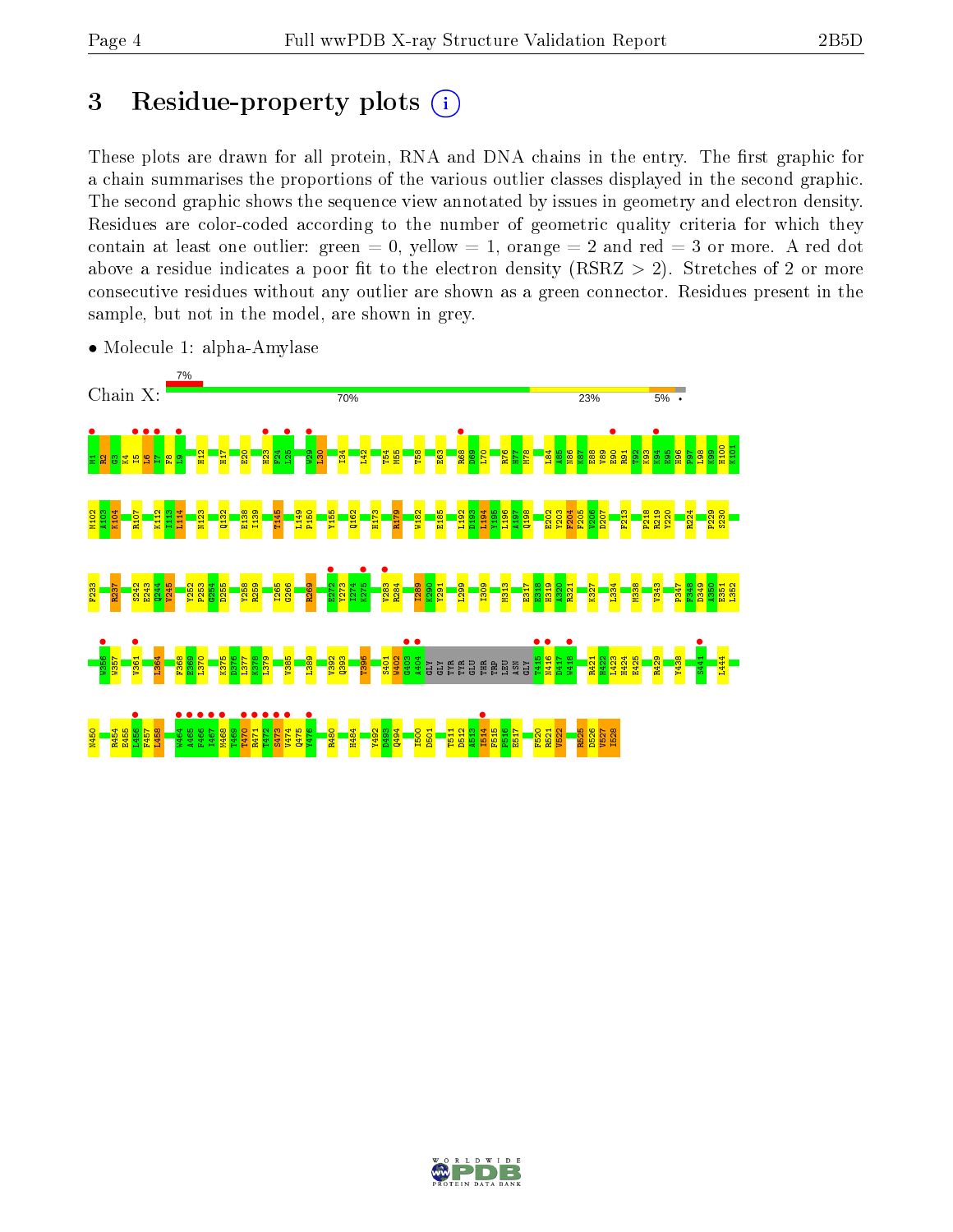# 3 Residue-property plots  $(i)$

These plots are drawn for all protein, RNA and DNA chains in the entry. The first graphic for a chain summarises the proportions of the various outlier classes displayed in the second graphic. The second graphic shows the sequence view annotated by issues in geometry and electron density. Residues are color-coded according to the number of geometric quality criteria for which they contain at least one outlier: green  $= 0$ , yellow  $= 1$ , orange  $= 2$  and red  $= 3$  or more. A red dot above a residue indicates a poor fit to the electron density (RSRZ  $> 2$ ). Stretches of 2 or more consecutive residues without any outlier are shown as a green connector. Residues present in the sample, but not in the model, are shown in grey.



• Molecule 1: alpha-Amylase

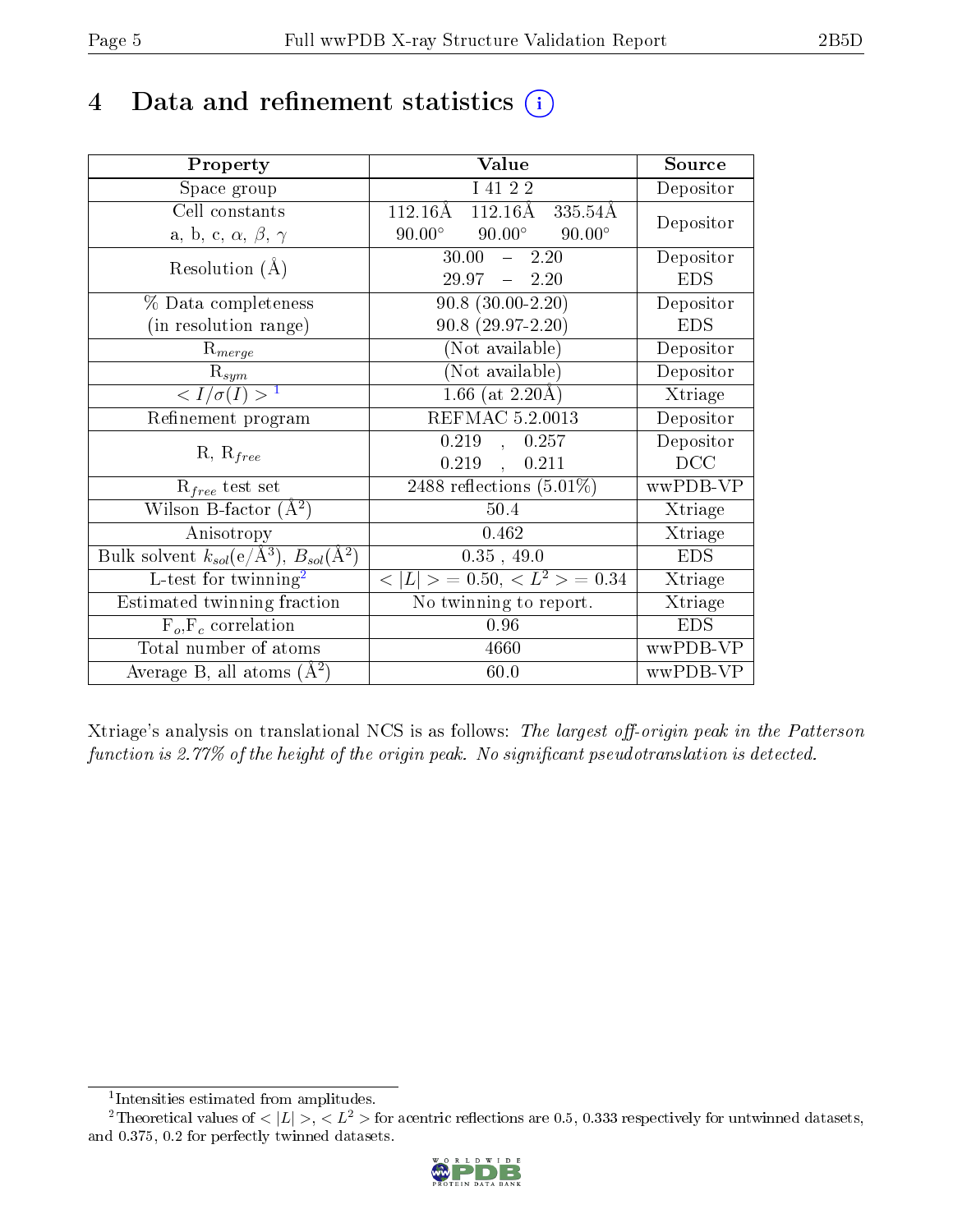# 4 Data and refinement statistics  $(i)$

| Property                                                         | Value                                           | Source                       |
|------------------------------------------------------------------|-------------------------------------------------|------------------------------|
| Space group                                                      | I 41 2 2                                        | Depositor                    |
| Cell constants                                                   | $112.16\text{\AA}$<br>112.16Å<br>335.54Å        | Depositor                    |
| a, b, c, $\alpha$ , $\beta$ , $\gamma$                           | $90.00^\circ$<br>$90.00^\circ$<br>$90.00^\circ$ |                              |
| Resolution $(A)$                                                 | 30.00<br>$-2.20$                                | Depositor                    |
|                                                                  | $29.97 - 2.20$                                  | <b>EDS</b>                   |
| % Data completeness                                              | $90.8$ $(30.00-2.20)$                           | Depositor                    |
| (in resolution range)                                            | $90.8(29.97-2.20)$                              | <b>EDS</b>                   |
| $R_{merge}$                                                      | (Not available)                                 | Depositor                    |
| $\mathrm{R}_{sym}$                                               | (Not available)                                 | Depositor                    |
| $\langle I/\sigma(I) \rangle^{-1}$                               | $1.66$ (at 2.20 Å)                              | $\overline{\text{X}}$ triage |
| Refinement program                                               | <b>REFMAC 5.2.0013</b>                          | Depositor                    |
| $R, R_{free}$                                                    | 0.219, 0.257                                    | Depositor                    |
|                                                                  | $0.219$ ,<br>0.211                              | DCC                          |
| $R_{free}$ test set                                              | 2488 reflections $(5.01\%)$                     | wwPDB-VP                     |
| Wilson B-factor $(A^2)$                                          | 50.4                                            | Xtriage                      |
| Anisotropy                                                       | 0.462                                           | Xtriage                      |
| Bulk solvent $k_{sol}(\text{e}/\text{A}^3), B_{sol}(\text{A}^2)$ | $0.35$ , 49.0                                   | <b>EDS</b>                   |
| L-test for twinning <sup>2</sup>                                 | $< L >$ = 0.50, $< L2$ > = 0.34                 | Xtriage                      |
| Estimated twinning fraction                                      | No twinning to report.                          | Xtriage                      |
| $\overline{F_o}, \overline{F_c}$ correlation                     | 0.96                                            | <b>EDS</b>                   |
| Total number of atoms                                            | 4660                                            | wwPDB-VP                     |
| Average B, all atoms $(A^2)$                                     | 60.0                                            | wwPDB-VP                     |

Xtriage's analysis on translational NCS is as follows: The largest off-origin peak in the Patterson function is 2.77% of the height of the origin peak. No significant pseudotranslation is detected.

<sup>&</sup>lt;sup>2</sup>Theoretical values of  $\langle |L| \rangle$ ,  $\langle L^2 \rangle$  for acentric reflections are 0.5, 0.333 respectively for untwinned datasets, and 0.375, 0.2 for perfectly twinned datasets.



<span id="page-4-1"></span><span id="page-4-0"></span><sup>1</sup> Intensities estimated from amplitudes.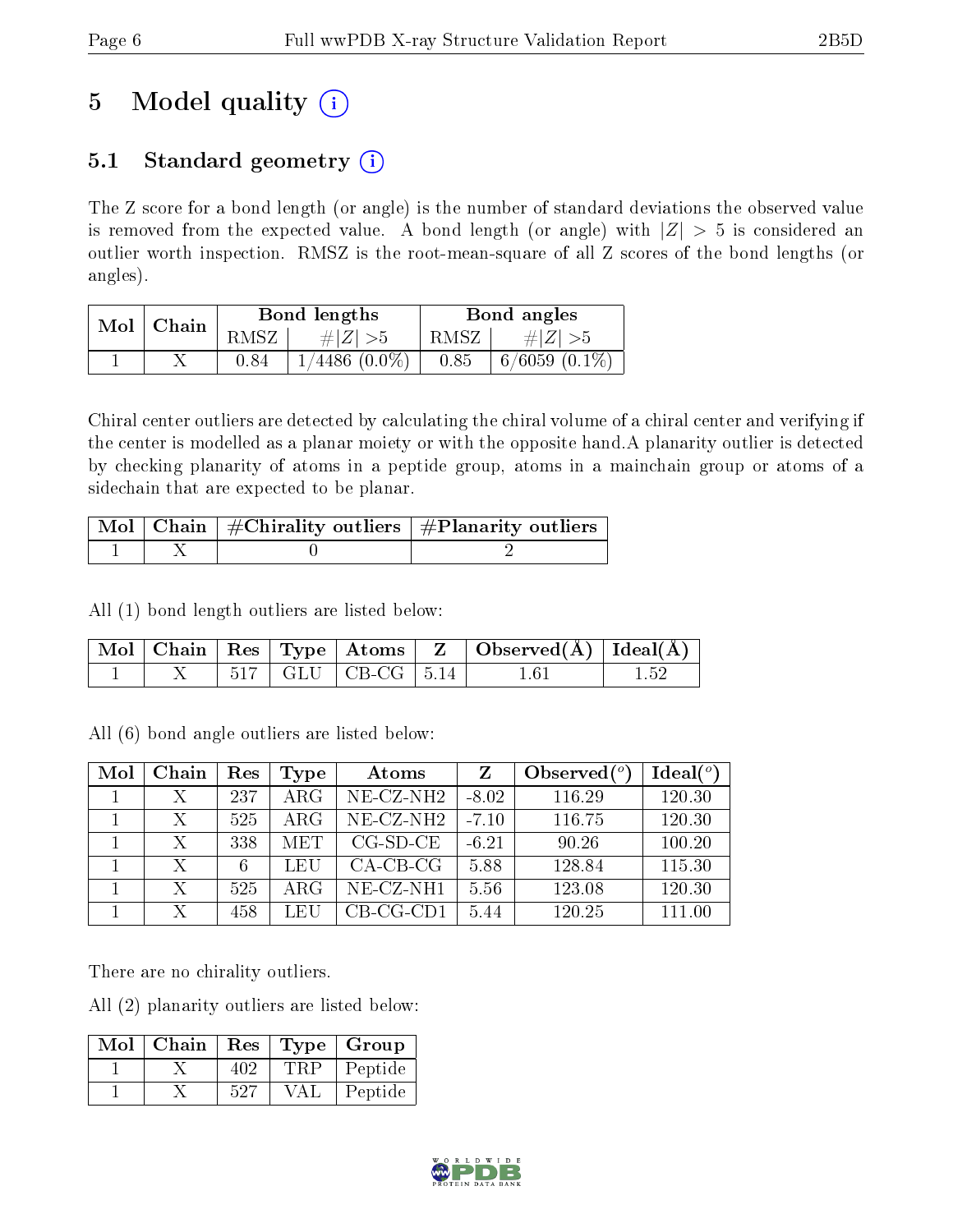# 5 Model quality  $(i)$

## 5.1 Standard geometry  $(i)$

The Z score for a bond length (or angle) is the number of standard deviations the observed value is removed from the expected value. A bond length (or angle) with  $|Z| > 5$  is considered an outlier worth inspection. RMSZ is the root-mean-square of all Z scores of the bond lengths (or angles).

| Mol | Chain |      | Bond lengths            | Bond angles |                   |  |
|-----|-------|------|-------------------------|-------------|-------------------|--|
|     |       | RMSZ | $\# Z  > 5$             | RMSZ        | $\# Z  > 5$       |  |
|     |       | 0.84 | $^{\prime}4486~(0.0\%)$ | 0.85        | $6/6059$ $(0.1\%$ |  |

Chiral center outliers are detected by calculating the chiral volume of a chiral center and verifying if the center is modelled as a planar moiety or with the opposite hand.A planarity outlier is detected by checking planarity of atoms in a peptide group, atoms in a mainchain group or atoms of a sidechain that are expected to be planar.

|  | $\begin{array}{ c c c }\hline \text{Mol} & \text{Chain} & \#\text{Chirality outliers} & \#\text{Planarity outliers} \end{array}$ |
|--|----------------------------------------------------------------------------------------------------------------------------------|
|  |                                                                                                                                  |

All (1) bond length outliers are listed below:

|  |  |                            | $\vert$ Mol $\vert$ Chain $\vert$ Res $\vert$ Type $\vert$ Atoms $\vert$ Z $\vert$ Observed( $\rm{A}$ ) $\vert$ Ideal( $\rm{A}$ ) |  |
|--|--|----------------------------|-----------------------------------------------------------------------------------------------------------------------------------|--|
|  |  | $517$   GLU   CB-CG   5.14 | 1.6.                                                                                                                              |  |

All (6) bond angle outliers are listed below:

| Mol | Chain | Res | Type       | Atoms        | Z       | Observed $(°)$ | Ideal(°) |
|-----|-------|-----|------------|--------------|---------|----------------|----------|
|     | Х     | 237 | ARG        | $NE- CZ-NH2$ | $-8.02$ | 116.29         | 120.30   |
|     | Х     | 525 | $\rm{ARG}$ | $NE- CZ-NH2$ | $-7.10$ | 116.75         | 120.30   |
|     | Х     | 338 | <b>MET</b> | $CG-SD-CE$   | $-6.21$ | 90.26          | 100.20   |
|     | Х     | 6   | LEU        | $CA-CB-CG$   | 5.88    | 128.84         | 115.30   |
|     | Х     | 525 | ARG        | $NE- CZ-NH1$ | 5.56    | 123.08         | 120.30   |
|     |       | 458 | LEU        | $CB-CG-CD1$  | 5.44    | 120.25         | 111.00   |

There are no chirality outliers.

All (2) planarity outliers are listed below:

| $Mol$   Chain |     |       | Res   Type   Group |
|---------------|-----|-------|--------------------|
|               | 402 | 'TRP- | Peptide            |
|               | 527 | VAL   | Peptide            |

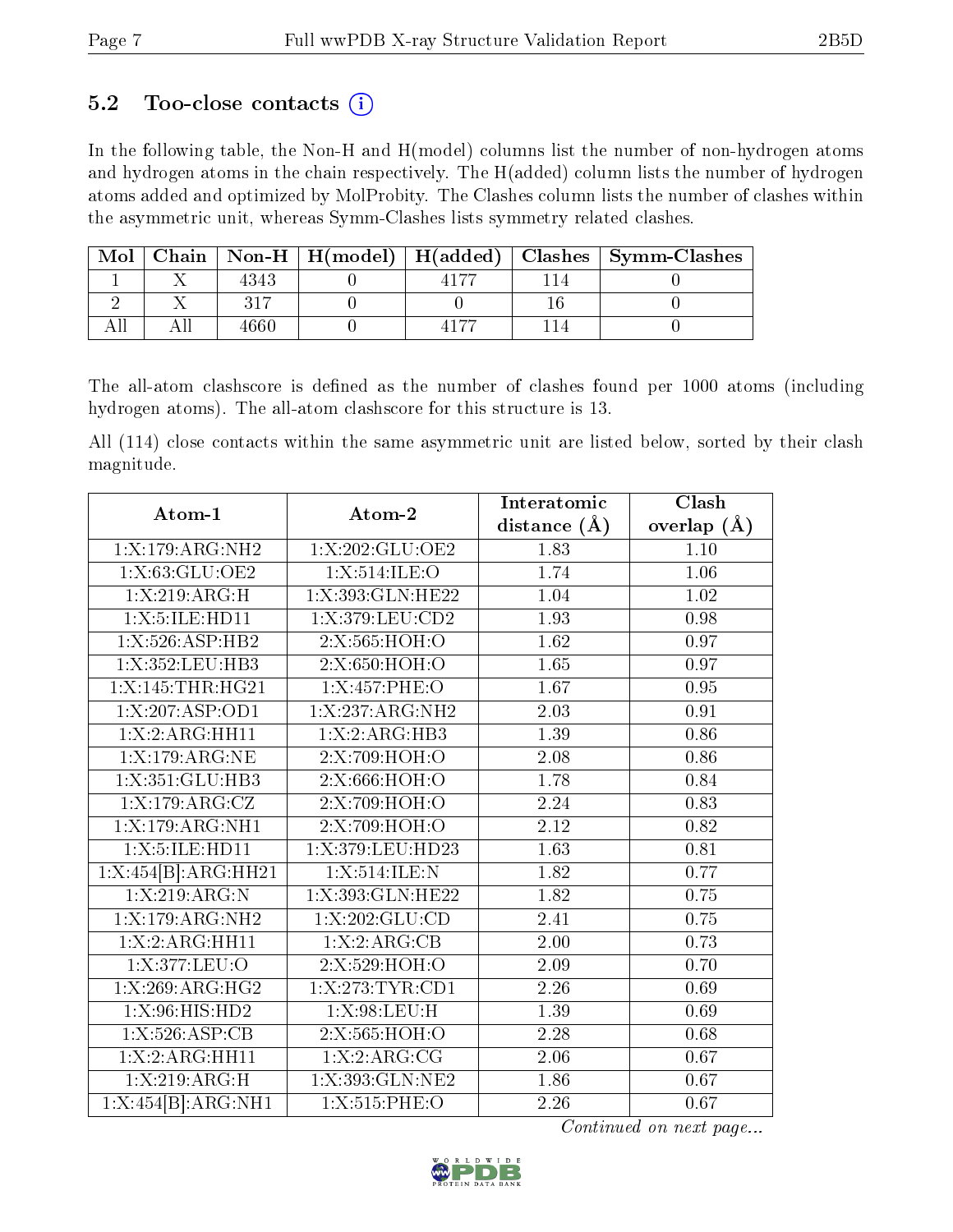### 5.2 Too-close contacts  $(i)$

In the following table, the Non-H and H(model) columns list the number of non-hydrogen atoms and hydrogen atoms in the chain respectively. The H(added) column lists the number of hydrogen atoms added and optimized by MolProbity. The Clashes column lists the number of clashes within the asymmetric unit, whereas Symm-Clashes lists symmetry related clashes.

| Mol |      |  | Chain   Non-H   H(model)   H(added)   Clashes   Symm-Clashes |
|-----|------|--|--------------------------------------------------------------|
|     | 4343 |  |                                                              |
|     |      |  |                                                              |
|     |      |  |                                                              |

The all-atom clashscore is defined as the number of clashes found per 1000 atoms (including hydrogen atoms). The all-atom clashscore for this structure is 13.

All (114) close contacts within the same asymmetric unit are listed below, sorted by their clash magnitude.

| Atom-1              | Atom-2                          | Interatomic      | Clash         |
|---------------------|---------------------------------|------------------|---------------|
|                     |                                 | distance $(\AA)$ | overlap $(A)$ |
| 1:X:179:ARG:NH2     | 1:X:202:GLU:OE2                 | 1.83             | 1.10          |
| 1:X:63:GLU:OE2      | 1:X:514:ILE:O                   | 1.74             | 1.06          |
| 1:X:219:ARG:H       | 1:X:393:GLN:HE22                | 1.04             | 1.02          |
| 1:X:5:ILE:HD11      | $1: X:379: LEU: \overline{CD2}$ | 1.93             | 0.98          |
| 1:X:526:ASP:HB2     | 2:X:565:HOH:O                   | 1.62             | 0.97          |
| 1:X:352:LEU:HB3     | 2:X:650:HOH:O                   | 1.65             | 0.97          |
| 1:X:145:THR:HG21    | 1:X:457:PHE:O                   | 1.67             | 0.95          |
| 1:X:207:ASP:OD1     | 1:X:237:ARG:NH2                 | 2.03             | 0.91          |
| 1: X: 2: ARG: HH11  | 1:X:2:ARG:HB3                   | 1.39             | 0.86          |
| 1:X:179:ARG:NE      | 2:X:709:HOH:O                   | 2.08             | 0.86          |
| 1:X:351:GLU:HB3     | 2:X:666:HOH:O                   | 1.78             | 0.84          |
| 1:X:179:ARG:CZ      | 2:X:709:HOH:O                   | 2.24             | 0.83          |
| 1:X:179:ARG:NH1     | 2:X:709:HOH:O                   | 2.12             | 0.82          |
| 1:X:5:ILE:HD11      | 1:X:379:LEU:HD23                | 1.63             | 0.81          |
| 1:X:454[B]:ARG:HH21 | 1:X:514:ILE:N                   | 1.82             | 0.77          |
| 1:X:219:ARG:N       | 1:X:393:GLN:HE22                | 1.82             | 0.75          |
| 1:X:179:ARG:NH2     | 1: X: 202: GLU: CD              | 2.41             | 0.75          |
| 1:X:2:ARG:HH11      | 1:X:2:ARG:CB                    | 2.00             | 0.73          |
| 1:X:377:LEU:O       | 2:X:529:HOH:O                   | 2.09             | 0.70          |
| 1:X:269:ARG:HG2     | 1: X: 273: TYR: CD1             | 2.26             | 0.69          |
| 1:X:96:HIS:HD2      | 1: X:98: LEU:H                  | $1.39\,$         | 0.69          |
| 1:X:526:ASP:CB      | 2:X:565:HOH:O                   | 2.28             | 0.68          |
| 1: X: 2: ARG: HH11  | 1:X:2:ARG:CG                    | 2.06             | 0.67          |
| 1: X:219: ARG:H     | 1:X:393:GLN:NE2                 | 1.86             | 0.67          |
| 1:X:454[B]:ARG:NH1  | 1:X:515:PHE:O                   | 2.26             | 0.67          |

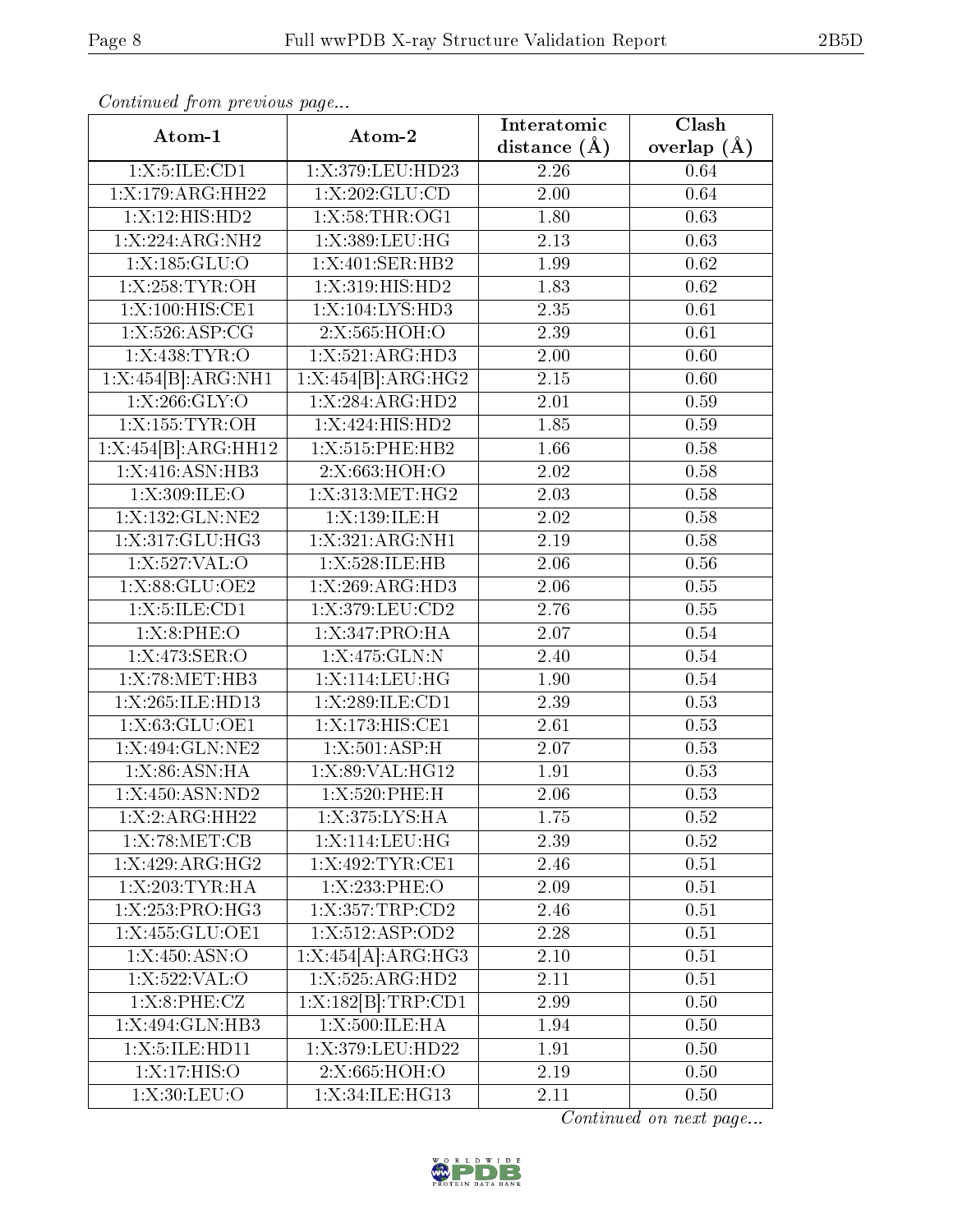| Communaca from previous page |                                                           |                | $\overline{\text{Clash}}$ |
|------------------------------|-----------------------------------------------------------|----------------|---------------------------|
| Atom-1                       | Atom-2                                                    | distance $(A)$ | overlap $(\AA)$           |
| 1: X: 5: ILE: CD1            | 1:X:379:LEU:HD23                                          | 2.26           | 0.64                      |
| 1:X:179:ARG:HH22             | 1: X: 202: GLU: CD                                        | 2.00           | 0.64                      |
| 1:X:12:HIS:HD2               | 1:X:58:THR:OG1                                            | 1.80           | 0.63                      |
| 1:X:224:ARG:NH2              | 1:X:389:LEU:HG                                            | 2.13           | 0.63                      |
| 1:X:185:GLU:O                | $1: X:401: \overline{\text{SER:HB2}}$                     | 1.99           | 0.62                      |
| 1:X:258:TYR:OH               | 1:X:319:HIS:HD2                                           | 1.83           | 0.62                      |
| 1:X:100:HIS:CE1              | 1:X:104:LYS:HD3                                           | 2.35           | 0.61                      |
| 1: X: 526: ASP: CG           | 2:X:565:HOH:O                                             | 2.39           | 0.61                      |
| 1: X:438: TYR:O              | 1:X:521:ARG:HD3                                           | 2.00           | 0.60                      |
| 1:X:454[B]:ARG:NH1           | $1:X:\overline{454[B]:}\overline{\text{ARG}:}\text{HG2}}$ | 2.15           | 0.60                      |
| 1: X: 266: GLY: O            | 1:X:284:ARG:HD2                                           | 2.01           | 0.59                      |
| 1:X:155:TYR:OH               | 1: X:424: HIS: HD2                                        | 1.85           | 0.59                      |
| 1:X:454[B]:ARG:HH12          | 1:X:515:PHE:HB2                                           | 1.66           | 0.58                      |
| 1: X:416: ASN:HB3            | 2:X:663:HOH:O                                             | 2.02           | 0.58                      |
| 1:X:309:ILE:O                | 1:X:313:MET:HG2                                           | 2.03           | 0.58                      |
| 1:X:132:GLN:NE2              | 1:X:139:ILE:H                                             | 2.02           | 0.58                      |
| 1:X:317:GLU:HG3              | 1:X:321:ARG:NH1                                           | 2.19           | 0.58                      |
| 1:X:527:VAL:O                | 1:X:528:ILE:HB                                            | 2.06           | 0.56                      |
| 1: X:88: GLU:OE2             | 1: X: 269: ARG: HD3                                       | 2.06           | 0.55                      |
| 1:X:5:ILE:CD1                | 1:X:379:LEU:CD2                                           | 2.76           | 0.55                      |
| 1:X:8:PHE:O                  | 1:X:347:PRO:HA                                            | 2.07           | 0.54                      |
| 1:X:473:SER:O                | 1:X:475:GLN:N                                             | 2.40           | 0.54                      |
| 1:X:78:MET:HB3               | $1:$ X:114:LEU:HG                                         | 1.90           | 0.54                      |
| 1:X:265:ILE:HD13             | 1:X:289:ILE:CD1                                           | 2.39           | 0.53                      |
| 1:X:63:GLU:OE1               | 1:X:173:HIS:CE1                                           | 2.61           | 0.53                      |
| 1:X:494:GLN:NE2              | 1:X:501:ASP:H                                             | 2.07           | 0.53                      |
| 1: X:86: ASN: HA             | 1:X:89:VAL:HG12                                           | 1.91           | 0.53                      |
| 1:X:450:ASN:ND2              | $1: X:520:$ PHE:H                                         | 2.06           | 0.53                      |
| 1: X: 2: ARG: HH22           | 1:X:375:LYS:HA                                            | 1.75           | 0.52                      |
| 1:X:78:MET:CB                | 1:X:114:LEU:HG                                            | 2.39           | 0.52                      |
| 1:X:429:ARG:HG2              | 1:X:492:TYR:CE1                                           | 2.46           | 0.51                      |
| 1: X:203: TYR: HA            | 1: X: 233: PHE:O                                          | 2.09           | 0.51                      |
| 1:X:253:PRO:HG3              | 1:X:357:TRP:CD2                                           | 2.46           | 0.51                      |
| 1:X:455:GLU:OE1              | 1:X:512:ASP:OD2                                           | 2.28           | 0.51                      |
| 1:X:450:ASN:O                | 1:X:454[A]:ARG:HG3                                        | 2.10           | 0.51                      |
| 1:X:522:VAL:O                | $1: X: 525: \overline{\text{ARG:H}D2}$                    | 2.11           | 0.51                      |
| 1: X:8:PHE: CZ               | $1: X: 182[B]$ : TRP: CD1                                 | 2.99           | 0.50                      |
| 1:X:494:GLN:HB3              | 1:X:500:ILE:HA                                            | 1.94           | 0.50                      |
| 1:X:5:ILE:HD11               | 1:X:379:LEU:HD22                                          | 1.91           | 0.50                      |
| 1:X:17:HIS:O                 | 2:X:665:HOH:O                                             | 2.19           | 0.50                      |
| 1: X:30: LEU:O               | 1:X:34:ILE:HG13                                           | 2.11           | 0.50                      |

Continued from previous page.

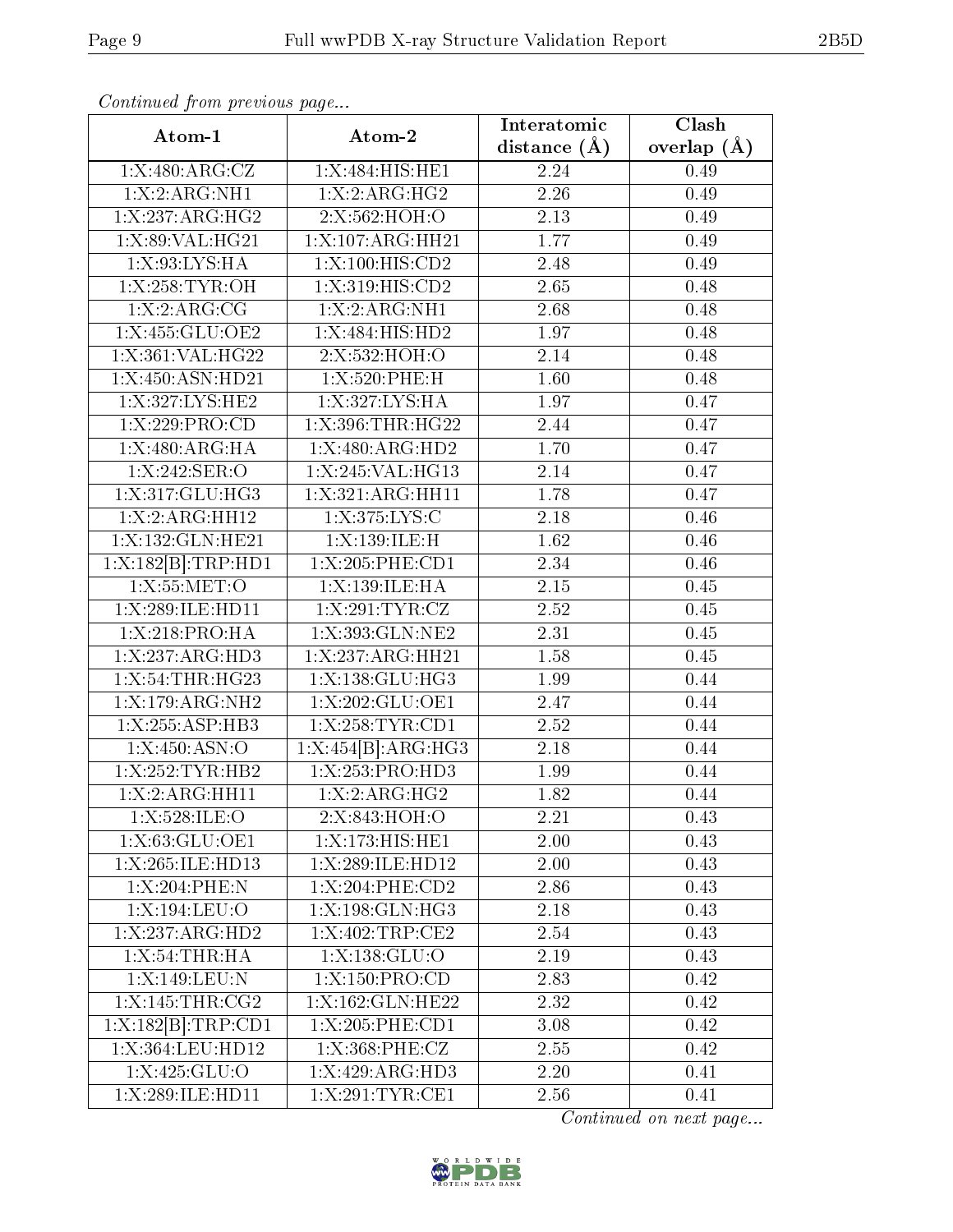| $\emph{Continued from previous page}$ |                               |                   |                          |  |
|---------------------------------------|-------------------------------|-------------------|--------------------------|--|
| Atom-1                                | Atom-2                        | Interatomic       | Clash<br>overlap $(\AA)$ |  |
|                                       |                               | distance $(\AA)$  |                          |  |
| 1:X:480:ARG:CZ                        | 1:X:484:HIS:HE1               | 2.24              | 0.49                     |  |
| 1:X:2:ARG:NH1                         | 1: X: 2: ARG: HG2             | 2.26              | 0.49                     |  |
| 1:X:237:ARG:HG2                       | 2:X:562:HOH:O                 | 2.13              | 0.49                     |  |
| 1:X:89:VAL:HG21                       | 1:X:107:ARG:HH21              | 1.77              | 0.49                     |  |
| 1:X:93:LYS:HA                         | 1:X:100:HIS:CD2               | 2.48              | 0.49                     |  |
| 1:X:258:TYR:OH                        | 1: X:319: HIS: CD2            | 2.65              | 0.48                     |  |
| 1: X: 2: ARG: CG                      | 1: X: 2: ARG: NH1             | $2.\overline{68}$ | 0.48                     |  |
| 1:X:455:GLU:OE2                       | 1:X:484:HIS:HD2               | 1.97              | 0.48                     |  |
| 1:X:361:VAL:HG22                      | 2:X:532:HOH:O                 | 2.14              | 0.48                     |  |
| 1:X:450:ASN:HD21                      | 1:X:520:PHE:H                 | 1.60              | 0.48                     |  |
| 1:X:327:LYS:HE2                       | 1:X:327:LYS:HA                | 1.97              | 0.47                     |  |
| 1: X:229: PRO:CD                      | 1:X:396:THR:HG22              | 2.44              | 0.47                     |  |
| 1:X:480:ARG:HA                        | 1:X:480:ARG:HD2               | 1.70              | 0.47                     |  |
| 1:X:242:SER:O                         | 1:X:245:VAL:HG13              | 2.14              | 0.47                     |  |
| 1:X:317:GLU:HG3                       | 1:X:321:ARG:HH11              | 1.78              | 0.47                     |  |
| 1:X:2:ARG:HH12                        | 1:X:375:LYS:C                 | 2.18              | 0.46                     |  |
| 1:X:132:GLN:HE21                      | 1:X:139:ILE:H                 | 1.62              | 0.46                     |  |
| 1:X:182[B]:TRP:HD1                    | 1:X:205:PHE:CD1               | 2.34              | 0.46                     |  |
| 1:X:55:MET:O                          | 1:X:139:ILE:HA                | 2.15              | 0.45                     |  |
| 1:X:289:ILE:HD11                      | 1:X:291:TYR:CZ                | 2.52              | 0.45                     |  |
| 1:X:218:PRO:HA                        | 1:X:393:GLN:NE2               | 2.31              | 0.45                     |  |
| 1:X:237:ARG:HD3                       | $1:X:237:A\overline{RG:HH21}$ | 1.58              | 0.45                     |  |
| 1:X:54:THR:HG23                       | 1:X:138:GLU:HG3               | 1.99              | 0.44                     |  |
| $1:X:179:ARG:\overline{\text{NH2}}$   | 1:X:202:GLU:OE1               | 2.47              | 0.44                     |  |
| 1:X:255:ASP:HB3                       | 1:X:258:TYR:CD1               | $\overline{2.52}$ | 0.44                     |  |
| 1:X:450:ASN:O                         | 1:X:454[B]:ARG:HG3            | $\overline{2.18}$ | 0.44                     |  |
| 1:X:252:TYR:HB2                       | 1:X:253:PRO:HD3               | 1.99              | 0.44                     |  |
| 1:X:2:ARG:HH11                        | 1:X:2:ARG:HG2                 | 1.82              | 0.44                     |  |
| 1:X:528:ILE:O                         | 2:X:843:HOH:O                 | 2.21              | 0.43                     |  |
| 1:X:63:GLU:OE1                        | 1:X:173:HIS:HET               | 2.00              | 0.43                     |  |
| 1:X:265:ILE:HD13                      | 1:X:289:ILE:HD12              | 2.00              | 0.43                     |  |
| 1:X:204:PHE:N                         | 1:X:204:PHE:CD2               | 2.86              | 0.43                     |  |
| 1:X:194:LEU:O                         | 1:X:198:GLN:HG3               | 2.18              | 0.43                     |  |
| 1:X:237:ARG:HD2                       | $1:$ X:402:TRP:CE2            | 2.54              | 0.43                     |  |
| 1:X:54:THR:HA                         | 1: X: 138: GLU:O              | 2.19              | 0.43                     |  |
| 1:X:149:LEU:N                         | 1:X:150:PRO:CD                | 2.83              | 0.42                     |  |
| 1:X:145:THR:CG2                       | 1:X:162:GLN:HE22              | 2.32              | 0.42                     |  |
| 1:X:182[B]:TRP:CD1                    | 1:X:205:PHE:CD1               | 3.08              | 0.42                     |  |
| 1:X:364:LEU:HD12                      | 1:X:368:PHE:CZ                | 2.55              |                          |  |
|                                       |                               |                   | 0.42                     |  |
| 1:X:425:GLU:O                         | 1:X:429:ARG:HD3               | $2.20\,$          | 0.41                     |  |

Continued on next page...



1:X:289:ILE:HD11 1:X:291:TYR:CE1 2.56 0.41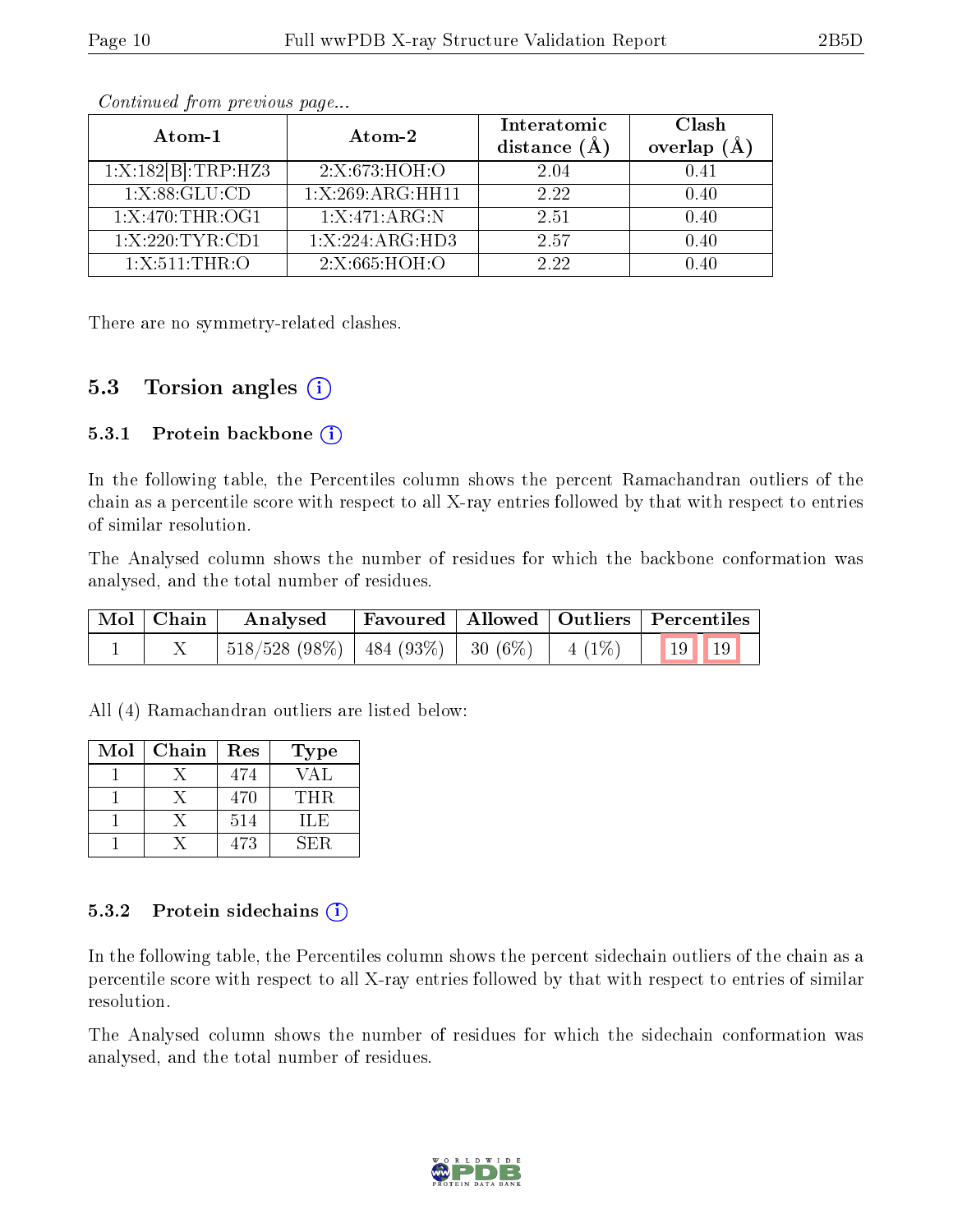| Atom-1             | Atom-2                        | Interatomic<br>distance $(A)$ | Clash<br>overlap $(A)$ |
|--------------------|-------------------------------|-------------------------------|------------------------|
| 1:X:182[B]:TRP:HZ3 | 2:X:673:HOH:O                 | 2.04                          | 0.41                   |
| 1: X: 88: GLU: CD  | $1:X:269:ARG:\overline{HH11}$ | 2.22                          | 0.40                   |
| 1:X:470:THR:OG1    | 1:X:471:ARG:N                 | 2.51                          | 0.40                   |
| 1:X:220:TYR:CD1    | 1:X:224:ARG:HD3               | 2.57                          | 0.40                   |
| 1:X:511:THR:O      | 2:X:665:HOH:O                 | 2.22                          | 0.40                   |

Continued from previous page...

There are no symmetry-related clashes.

### 5.3 Torsion angles  $(i)$

#### 5.3.1 Protein backbone  $(i)$

In the following table, the Percentiles column shows the percent Ramachandran outliers of the chain as a percentile score with respect to all X-ray entries followed by that with respect to entries of similar resolution.

The Analysed column shows the number of residues for which the backbone conformation was analysed, and the total number of residues.

| Mol Chain | Analysed   Favoured   Allowed   Outliers   Percentiles        |  |  |
|-----------|---------------------------------------------------------------|--|--|
|           | $\mid$ 518/528 (98%)   484 (93%)   30 (6%)   4 (1%)   19   19 |  |  |

All (4) Ramachandran outliers are listed below:

| Mol | Chain | Res | <b>Type</b> |
|-----|-------|-----|-------------|
|     |       | 474 | VAL         |
|     |       | 470 | THR.        |
|     |       | 514 | ILE         |
|     |       | 473 | SE R        |

#### 5.3.2 Protein sidechains (i)

In the following table, the Percentiles column shows the percent sidechain outliers of the chain as a percentile score with respect to all X-ray entries followed by that with respect to entries of similar resolution.

The Analysed column shows the number of residues for which the sidechain conformation was analysed, and the total number of residues.

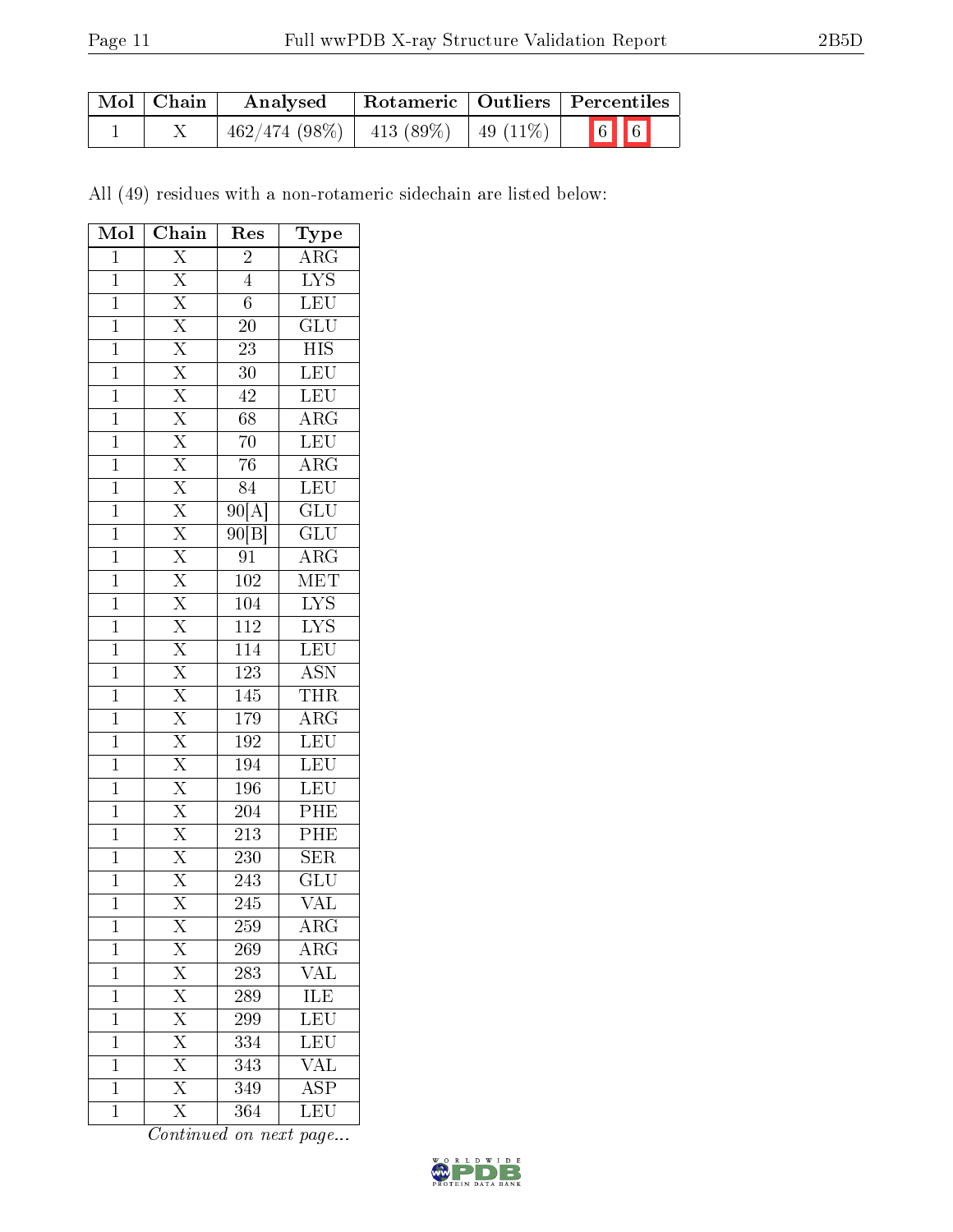| Mol   Chain | Analysed                                  |  | Rotameric   Outliers   Percentiles |
|-------------|-------------------------------------------|--|------------------------------------|
|             | $462/474$ (98\%)   413 (89\%)   49 (11\%) |  | $\boxed{6}$ 6                      |

All (49) residues with a non-rotameric sidechain are listed below:

| Mol            | $\overline{\text{Chain}}$                                                                                                                                                                                                                                                                                                                                              | Res              | Type                      |
|----------------|------------------------------------------------------------------------------------------------------------------------------------------------------------------------------------------------------------------------------------------------------------------------------------------------------------------------------------------------------------------------|------------------|---------------------------|
| $\overline{1}$ | $\overline{\mathrm{X}}$                                                                                                                                                                                                                                                                                                                                                | $\overline{2}$   | $\rm{ARG}$                |
| $\overline{1}$ | $\overline{X}$                                                                                                                                                                                                                                                                                                                                                         | $\overline{4}$   | $\overline{\text{LYS}}$   |
| $\overline{1}$ |                                                                                                                                                                                                                                                                                                                                                                        | $\overline{6}$   | $\overline{\text{LEU}}$   |
| $\mathbf{1}$   |                                                                                                                                                                                                                                                                                                                                                                        | <b>20</b>        | $\overline{\text{GLU}}$   |
| $\mathbf{1}$   |                                                                                                                                                                                                                                                                                                                                                                        | 23               | <b>HIS</b>                |
| $\overline{1}$ |                                                                                                                                                                                                                                                                                                                                                                        | $\overline{30}$  | $\overline{\text{LEU}}$   |
| $\overline{1}$ |                                                                                                                                                                                                                                                                                                                                                                        | 42               | $\overline{\text{LEU}}$   |
| $\overline{1}$ |                                                                                                                                                                                                                                                                                                                                                                        | $\overline{68}$  | $\overline{\rm{ARG}}$     |
| $\mathbf{1}$   |                                                                                                                                                                                                                                                                                                                                                                        | $\overline{70}$  | LEU                       |
| $\mathbf{1}$   |                                                                                                                                                                                                                                                                                                                                                                        | $\overline{76}$  | $\overline{\text{ARG}}$   |
| $\overline{1}$ |                                                                                                                                                                                                                                                                                                                                                                        | 84               | LEU                       |
| $\mathbf{1}$   |                                                                                                                                                                                                                                                                                                                                                                        | 90[A]            | $\overline{\mathrm{GLU}}$ |
| $\overline{1}$ | $\frac{\overline{X} \cdot \overline{X} \cdot \overline{X} \cdot \overline{X} \cdot \overline{X} \cdot \overline{X} \cdot \overline{X} \cdot \overline{X} \cdot \overline{X} \cdot \overline{X} \cdot \overline{X} \cdot \overline{X}}{\overline{X} \cdot \overline{X} \cdot \overline{X} \cdot \overline{X} \cdot \overline{X} \cdot \overline{X} \cdot \overline{X}}$ | 90 B             | $\overline{\mathrm{GLU}}$ |
| $\mathbf{1}$   |                                                                                                                                                                                                                                                                                                                                                                        | 91               | $\overline{\rm{ARG}}$     |
| $\mathbf{1}$   |                                                                                                                                                                                                                                                                                                                                                                        | $\overline{102}$ | MET                       |
| $\overline{1}$ |                                                                                                                                                                                                                                                                                                                                                                        | 104              | $\overline{\text{LYS}}$   |
| $\overline{1}$ |                                                                                                                                                                                                                                                                                                                                                                        | $\overline{112}$ | $\overline{\text{LYS}}$   |
| $\overline{1}$ |                                                                                                                                                                                                                                                                                                                                                                        | $\overline{114}$ | LEU                       |
| $\mathbf{1}$   |                                                                                                                                                                                                                                                                                                                                                                        | $\overline{123}$ | <b>ASN</b>                |
| $\overline{1}$ |                                                                                                                                                                                                                                                                                                                                                                        | 145              | THR                       |
| $\mathbf{1}$   | $\frac{\overline{X}}{\overline{X}}$ $\frac{\overline{X}}{\overline{X}}$                                                                                                                                                                                                                                                                                                | 179              | $\overline{\rm ARG}$      |
| $\overline{1}$ |                                                                                                                                                                                                                                                                                                                                                                        | $\overline{192}$ | LEU                       |
| $\overline{1}$ |                                                                                                                                                                                                                                                                                                                                                                        | 194              | LEU                       |
| $\mathbf 1$    |                                                                                                                                                                                                                                                                                                                                                                        | 196              | $\overline{\text{LEU}}$   |
| $\mathbf 1$    | $\frac{X}{X}$                                                                                                                                                                                                                                                                                                                                                          | $\overline{204}$ | PHE                       |
| $\overline{1}$ |                                                                                                                                                                                                                                                                                                                                                                        | 213              | PHE                       |
| $\overline{1}$ |                                                                                                                                                                                                                                                                                                                                                                        | 230              | $\overline{\text{SER}}$   |
| $\overline{1}$ | $\frac{\overline{X}}{\overline{X}}$                                                                                                                                                                                                                                                                                                                                    | 243              | GLU                       |
| $\mathbf{1}$   | $\overline{\mathrm{X}}$                                                                                                                                                                                                                                                                                                                                                | 245              | VAL                       |
| $\mathbf 1$    | $\rm X$                                                                                                                                                                                                                                                                                                                                                                | 259              | ${\rm ARG}$               |
| $\mathbf{1}$   |                                                                                                                                                                                                                                                                                                                                                                        | 269              | $\rm{ARG}$                |
| $\mathbf 1$    |                                                                                                                                                                                                                                                                                                                                                                        | 283              | $\overline{\text{VAL}}$   |
| $\mathbf{1}$   |                                                                                                                                                                                                                                                                                                                                                                        | 289              | ILE                       |
| $\mathbf 1$    | $\frac{\overline{X}}{\overline{X}}$ $\frac{\overline{X}}{\overline{X}}$                                                                                                                                                                                                                                                                                                | 299              | LEU                       |
| $\mathbf{1}$   | $\frac{\overline{X}}{\overline{X}}$                                                                                                                                                                                                                                                                                                                                    | 334              | $\overline{\text{LEU}}$   |
| $\mathbf{1}$   |                                                                                                                                                                                                                                                                                                                                                                        | 343              | $\rm \sqrt{AL}$           |
| $\mathbf{1}$   | $\overline{\mathrm{X}}$                                                                                                                                                                                                                                                                                                                                                | $\overline{349}$ | $\overline{\text{ASP}}$   |
| $\mathbf 1$    | $\overline{\mathrm{X}}$                                                                                                                                                                                                                                                                                                                                                | 364              | LEU                       |

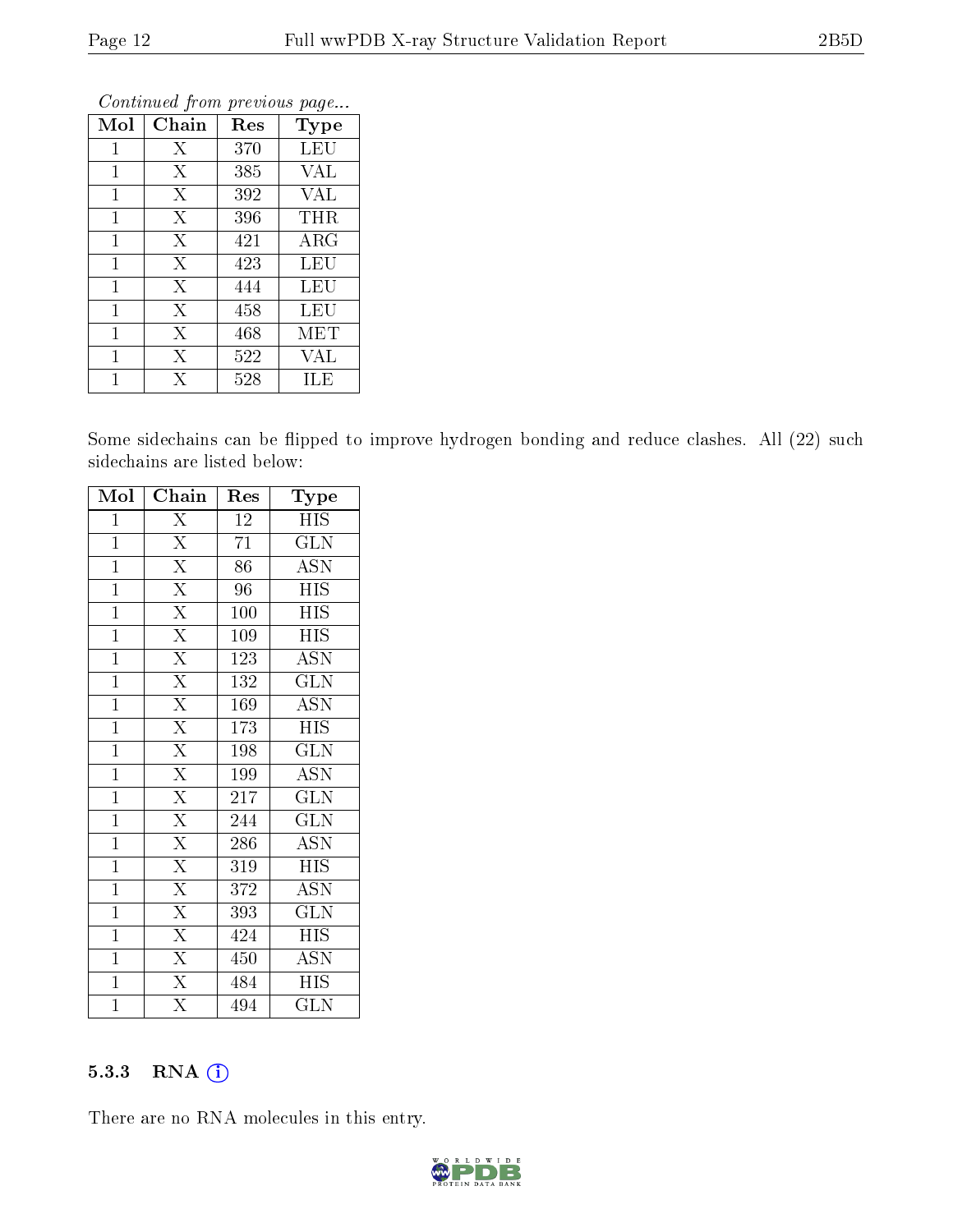|                |       | ı   |            |
|----------------|-------|-----|------------|
| Mol            | Chain | Res | Type       |
| 1              | X     | 370 | LEU        |
| 1              | X     | 385 | VAL        |
| 1              | X     | 392 | VAL        |
| 1              | X     | 396 | $\tt{THR}$ |
| 1              | X     | 421 | <b>ARG</b> |
| 1              | X     | 423 | LEU        |
| 1              | X     | 444 | LEU        |
| 1              | X     | 458 | LEU        |
| $\overline{1}$ | X     | 468 | MET        |
| 1              | X     | 522 | VAL        |
|                | Х     | 528 | ILE        |

Continued from previous page...

Some sidechains can be flipped to improve hydrogen bonding and reduce clashes. All (22) such sidechains are listed below:

| Mol            | Chain                   | Res              | Type                      |
|----------------|-------------------------|------------------|---------------------------|
| $\mathbf 1$    | $\overline{\mathrm{X}}$ | 12               | <b>HIS</b>                |
| $\mathbf 1$    | $\overline{\mathrm{X}}$ | 71               | <b>GLN</b>                |
| $\mathbf{1}$   | $\overline{\mathrm{X}}$ | 86               | $\overline{\mathrm{ASN}}$ |
| $\mathbf{1}$   | $\overline{\mathrm{X}}$ | 96               | <b>HIS</b>                |
| $\mathbf{1}$   | $\overline{\mathrm{X}}$ | 100              | <b>HIS</b>                |
| $\overline{1}$ | $\overline{\mathrm{X}}$ | 109              | $\overline{HIS}$          |
| $\mathbf{1}$   | $\overline{\mathrm{X}}$ | 123              | <b>ASN</b>                |
| $\mathbf{1}$   | $\overline{\mathrm{X}}$ | $\overline{1}32$ | $\overline{\text{GLN}}$   |
| $\mathbf{1}$   | $\overline{\mathrm{X}}$ | 169              | <b>ASN</b>                |
| $\overline{1}$ | $\overline{\mathrm{X}}$ | 173              | <b>HIS</b>                |
| $\mathbf{1}$   | $\overline{\mathrm{X}}$ | 198              | GLN                       |
| $\mathbf{1}$   | $\overline{\mathrm{X}}$ | 199              | <b>ASN</b>                |
| $\mathbf{1}$   | $\overline{\mathrm{X}}$ | 217              | $\overline{\text{GLN}}$   |
| $\mathbf{1}$   | $\overline{\mathrm{X}}$ | 244              | GLN                       |
| $\mathbf{1}$   | $\overline{\mathrm{X}}$ | 286              | <b>ASN</b>                |
| $\mathbf{1}$   | $\overline{\mathrm{X}}$ | 319              | <b>HIS</b>                |
| $\mathbf 1$    | $\overline{\mathrm{X}}$ | 372              | <b>ASN</b>                |
| $\overline{1}$ | $\overline{\mathrm{X}}$ | 393              | <b>GLN</b>                |
| $\mathbf{1}$   | $\overline{\mathrm{X}}$ | 424              | <b>HIS</b>                |
| $\mathbf 1$    | $\overline{\mathrm{X}}$ | 450              | ASN                       |
| $\mathbf{1}$   | $\overline{\mathrm{X}}$ | 484              | <b>HIS</b>                |
| $\overline{1}$ | $\overline{\mathrm{X}}$ | 494              | <b>GLN</b>                |

### 5.3.3 RNA (i)

There are no RNA molecules in this entry.

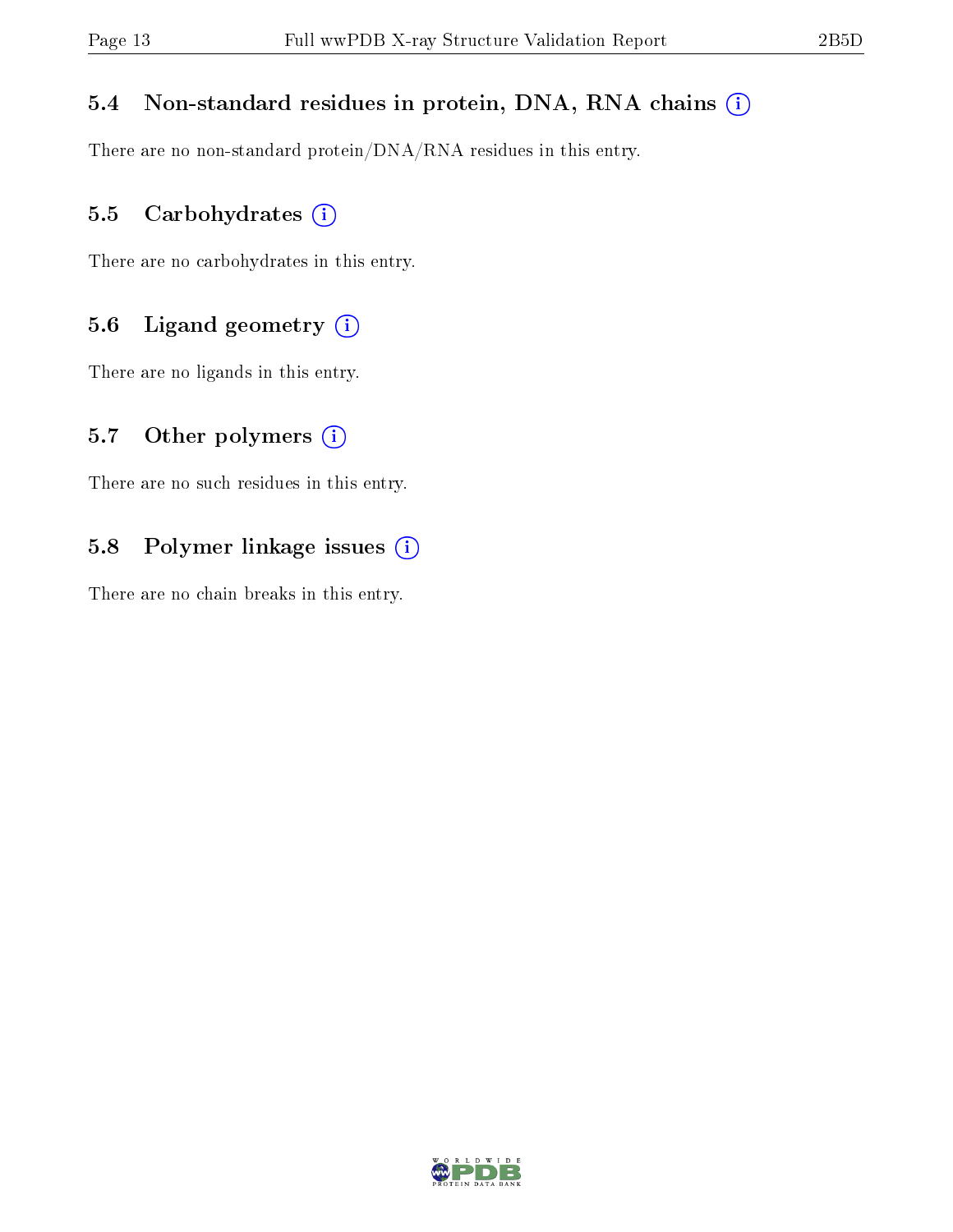#### 5.4 Non-standard residues in protein, DNA, RNA chains (i)

There are no non-standard protein/DNA/RNA residues in this entry.

#### 5.5 Carbohydrates (i)

There are no carbohydrates in this entry.

#### 5.6 Ligand geometry (i)

There are no ligands in this entry.

#### 5.7 [O](https://www.wwpdb.org/validation/2017/XrayValidationReportHelp#nonstandard_residues_and_ligands)ther polymers  $(i)$

There are no such residues in this entry.

#### 5.8 Polymer linkage issues (i)

There are no chain breaks in this entry.

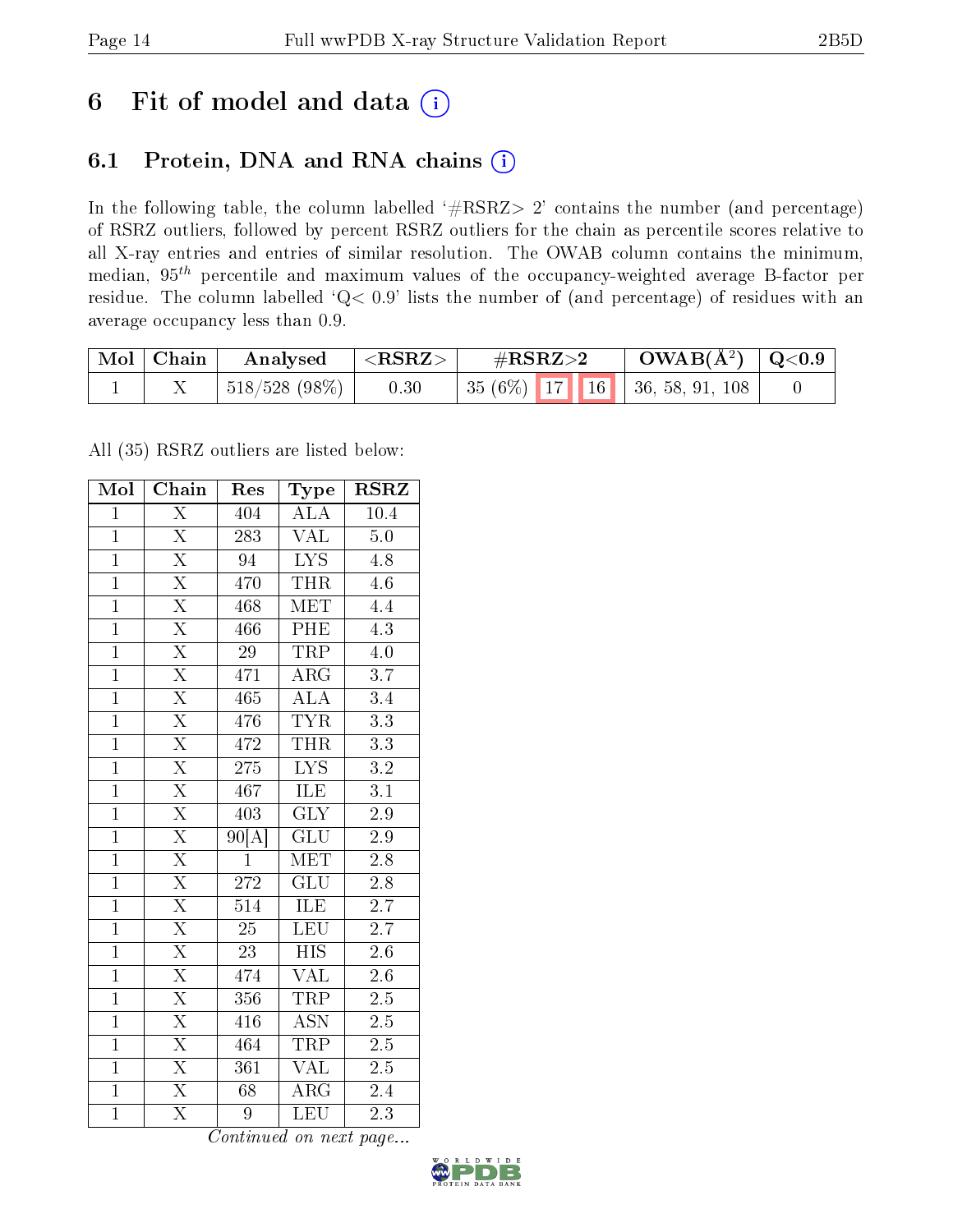# 6 Fit of model and data  $(i)$

## 6.1 Protein, DNA and RNA chains  $(i)$

In the following table, the column labelled  $#RSRZ> 2'$  contains the number (and percentage) of RSRZ outliers, followed by percent RSRZ outliers for the chain as percentile scores relative to all X-ray entries and entries of similar resolution. The OWAB column contains the minimum, median,  $95<sup>th</sup>$  percentile and maximum values of the occupancy-weighted average B-factor per residue. The column labelled ' $Q< 0.9$ ' lists the number of (and percentage) of residues with an average occupancy less than 0.9.

| $\text{Mol} \mid \text{Chain}$ | Analysed         | $^+$ <rsrz></rsrz> | $\#\text{RSRZ}\text{>2}$                            | $\rm OWAB(\AA^2)~\mid Q\hspace{-0.05cm}<\hspace{-0.05cm}0.9$ |  |
|--------------------------------|------------------|--------------------|-----------------------------------------------------|--------------------------------------------------------------|--|
|                                | $1518/528(98\%)$ | 0.30               | $\mid 35(6\%) \mid 17 \mid 16 \mid 36, 58, 91, 108$ |                                                              |  |

All (35) RSRZ outliers are listed below:

| Mol            | Chain                   | Res              | Type                      | <b>RSRZ</b>      |
|----------------|-------------------------|------------------|---------------------------|------------------|
| $\mathbf{1}$   | $\overline{\mathrm{X}}$ | 404              | <b>ALA</b>                | 10.4             |
| $\overline{1}$ | $\overline{\mathrm{X}}$ | 283              | <b>VAL</b>                | 5.0              |
| $\overline{1}$ | $\overline{\mathrm{X}}$ | $\overline{94}$  | $\overline{\text{LYS}}$   | 4.8              |
| $\overline{1}$ | $\overline{\mathrm{X}}$ | 470              | <b>THR</b>                | 4.6              |
| $\overline{1}$ | $\overline{\mathrm{X}}$ | 468              | $\overline{\text{MET}}$   | $\overline{4.4}$ |
| $\overline{1}$ | $\overline{\text{X}}$   | 466              | PHE                       | $4.\overline{3}$ |
| $\overline{1}$ | $\overline{\mathrm{X}}$ | $\overline{29}$  | <b>TRP</b>                | 4.0              |
| $\overline{1}$ | $\overline{\mathrm{X}}$ | 471              | $\overline{\rm{ARG}}$     | $\overline{3.7}$ |
| $\mathbf{1}$   | $\overline{\mathrm{X}}$ | 465              | $\overline{\rm ALA}$      | 3.4              |
| $\overline{1}$ | $\overline{\mathrm{X}}$ | 476              | <b>TYR</b>                | $\overline{3.3}$ |
| $\overline{1}$ | $\overline{\mathrm{X}}$ | 472              | <b>THR</b>                | $\overline{3.3}$ |
| $\overline{1}$ | $\overline{\mathrm{X}}$ | 275              | $\overline{\text{LYS}}$   | $\overline{3.2}$ |
| $\overline{1}$ | $\overline{\mathrm{X}}$ | 467              | ILE                       | 3.1              |
| $\overline{1}$ | $\overline{\mathrm{X}}$ | 403              | $\overline{\text{GLY}}$   | $\overline{2.9}$ |
| $\overline{1}$ | $\overline{\mathrm{X}}$ | 90[A]            | $\overline{\text{GLU}}$   | $\overline{2.9}$ |
| $\overline{1}$ | $\overline{\mathrm{X}}$ | $\overline{1}$   | <b>MET</b>                | 2.8              |
| $\overline{1}$ | $\overline{\mathrm{X}}$ | 272              | $\overline{\text{GLU}}$   | $\overline{2.8}$ |
| $\overline{1}$ | $\overline{\text{X}}$   | 514              | ILE                       | $\overline{2.7}$ |
| $\mathbf{1}$   | $\overline{\mathrm{X}}$ | $\overline{25}$  | $\overline{\text{LEU}}$   | 2.7              |
| $\overline{1}$ | $\overline{\mathrm{X}}$ | $\overline{23}$  | <b>HIS</b>                | 2.6              |
| $\mathbf{1}$   | $\overline{\mathrm{X}}$ | 474              | <b>VAL</b>                | 2.6              |
| $\overline{1}$ | $\overline{\mathrm{X}}$ | $\overline{356}$ | <b>TRP</b>                | $\overline{2.5}$ |
| $\overline{1}$ | $\overline{\mathrm{X}}$ | 416              | $\overline{\mathrm{ASN}}$ | $2.5\,$          |
| $\overline{1}$ | $\overline{\mathrm{X}}$ | 464              | <b>TRP</b>                | $\overline{2.5}$ |
| $\mathbf{1}$   | $\overline{\text{X}}$   | 361              | <b>VAL</b>                | 2.5              |
| $\mathbf{1}$   | $\overline{\mathrm{X}}$ | 68               | ARG                       | 2.4              |
| $\overline{1}$ | $\overline{\mathrm{X}}$ | 9                | LEU                       | $\overline{2.3}$ |